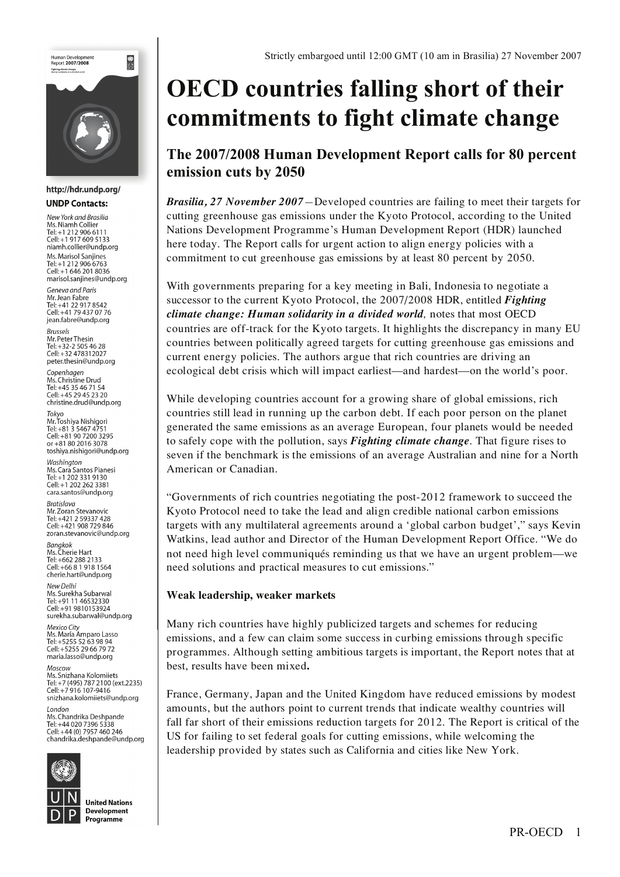

#### http://hdr.undp.org/ **UNDP Contacts:**

New York and Brasilia Ms. Niamh Collier Tel: +1 212 906 6111 Cell: +1 917 609 5133 niamh.collier@undp.org Ms. Marisol Sanjines Tel: +1 212 906 6763 Cell: +1 646 201 8036 marisol.sanjines@undp.org

Geneva and Paris Mr. Jean Fabre<br>Tel: +41 22 917 8542 Cell: +41 79 437 07 76 jean.fabre@undp.org

**Brussels** *Mr. Peter Thesin* Tel: +32-2 505 46 28 Cell: +32 478312027 peter.thesin@undp.org

Copenhagen Ms. Christine Drud  $T = 4535467154$ Cell: +45 29 45 23 20 christine.drud@undp.org

Tokvo Mr. Toshiya Nishigori Tel: +81 3 5467 4751<br>Cell: +81 3 5467 4751 or +81 80 2016 3078 toshiya.nishigori@undp.org

Washington Ms. Cara Santos Pianesi<br>Tel: +1 202 331 9130 Cell: +1 202 262 3381 cara.santos@undp.org

**Bratislava** Mr. Zoran Stevanovic Tel: +421 2 59337 428 Cell: +421 908 729 846 zoran stevanovic@undn org

**Banakok Ms. Cherie Hart** Tel: +662 288 2133 Cell: +66 8 1 918 1564 cherie.hart@undp.org

New Delhi Ms. Surekha Subarwa Tel: +91 11 46532330 Cell: +91 9810153924 surekha.subarwal@undp.org

Mexico City Mexico Criy<br>Ms. María Amparo Lasso<br>Tel: +5255 52 63 98 94 Cell: +5255 29 66 79 72 maria.lasso@undp.org

Moscow ..........<br>Ms. Snizhana Kolomiiets Tel: +7 (495) 787 2100 (ext.2235) Cell: +7 916 107-9416 snizhana.kolomiiets@undp.org

 $I$ ondon Ms. Chandrika Deshpande Tel: +44 020 7396 5338<br>Cell: +44 020 7396 5338 chandrika.deshpande@undp.org



**United Nations** Development Programme

# **OECD countries falling short of their commitments to fight climate change**

# **The 2007/2008 Human Development Report calls for 80 percent emission cuts by 2050**

*Brasilia, 27 November 2007—*Developed countries are failing to meet their targets for cutting greenhouse gas emissions under the Kyoto Protocol, according to the United Nations Development Programme's Human Development Report (HDR) launched here today. The Report calls for urgent action to align energy policies with a commitment to cut greenhouse gas emissions by at least 80 percent by 2050.

With governments preparing for a key meeting in Bali, Indonesia to negotiate a successor to the current Kyoto Protocol, the 2007/2008 HDR, entitled *Fighting climate change: Human solidarity in a divided world,* notes that most OECD countries are off-track for the Kyoto targets. It highlights the discrepancy in many EU countries between politically agreed targets for cutting greenhouse gas emissions and current energy policies. The authors argue that rich countries are driving an ecological debt crisis which will impact earliest—and hardest—on the world's poor.

While developing countries account for a growing share of global emissions, rich countries still lead in running up the carbon debt. If each poor person on the planet generated the same emissions as an average European, four planets would be needed to safely cope with the pollution, says *Fighting climate change*. That figure rises to seven if the benchmark is the emissions of an average Australian and nine for a North American or Canadian.

"Governments of rich countries negotiating the post-2012 framework to succeed the Kyoto Protocol need to take the lead and align credible national carbon emissions targets with any multilateral agreements around a 'global carbon budget'," says Kevin Watkins, lead author and Director of the Human Development Report Office. "We do not need high level communiqués reminding us that we have an urgent problem—we need solutions and practical measures to cut emissions."

### **Weak leadership, weaker markets**

Many rich countries have highly publicized targets and schemes for reducing emissions, and a few can claim some success in curbing emissions through specific programmes. Although setting ambitious targets is important, the Report notes that at best, results have been mixed**.** 

France, Germany, Japan and the United Kingdom have reduced emissions by modest amounts, but the authors point to current trends that indicate wealthy countries will fall far short of their emissions reduction targets for 2012. The Report is critical of the US for failing to set federal goals for cutting emissions, while welcoming the leadership provided by states such as California and cities like New York.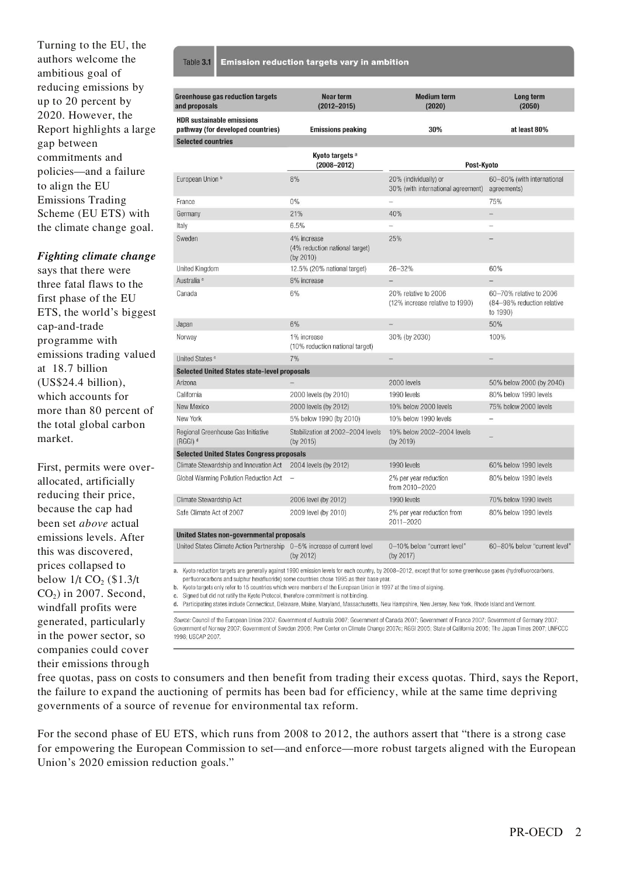Turning to the EU, the authors welcome the ambitious goal of reducing emissions by up to 20 percent by 2020. However, the Report highlights a large gap between commitments and policies—and a failure to align the EU Emissions Trading Scheme (EU ETS) with the climate change goal.

Ta

#### *Fighting climate change*

says that there were three fatal flaws to the first phase of the EU ETS, the world's biggest cap-and-trade programme with emissions trading valued at 18.7 billion (US\$24.4 billion), which accounts for more than 80 percent of the total global carbon market.

First, permits were overallocated, artificially reducing their price, because the cap had been set *above* actual emissions levels. After this was discovered, prices collapsed to below  $1/t$  CO<sub>2</sub> (\$1.3/t)  $CO<sub>2</sub>$ ) in 2007. Second, windfall profits were generated, particularly in the power sector, so companies could cover their emissions through

| <b>Dle 3.1 Emission reduction targets vary in ambition</b> |  |  |
|------------------------------------------------------------|--|--|
|                                                            |  |  |

| <b>Greenhouse gas reduction targets</b><br>and proposals                | Near term<br>$(2012 - 2015)$                               | <b>Medium term</b><br>(2020)                                | Long term<br>(2050)                                               |  |  |  |  |  |
|-------------------------------------------------------------------------|------------------------------------------------------------|-------------------------------------------------------------|-------------------------------------------------------------------|--|--|--|--|--|
| <b>HDR sustainable emissions</b><br>pathway (for developed countries)   | <b>Emissions peaking</b>                                   | 30%                                                         | at least 80%                                                      |  |  |  |  |  |
| <b>Selected countries</b>                                               |                                                            |                                                             |                                                                   |  |  |  |  |  |
|                                                                         | Kyoto targets <sup>a</sup><br>$(2008 - 2012)$              | Post-Kyoto                                                  |                                                                   |  |  |  |  |  |
| European Union b                                                        | 8%                                                         | 20% (individually) or<br>30% (with international agreement) | 60-80% (with international<br>agreements)                         |  |  |  |  |  |
| France                                                                  | 0%                                                         |                                                             | 75%                                                               |  |  |  |  |  |
| Germany                                                                 | 21%                                                        | 40%                                                         |                                                                   |  |  |  |  |  |
| Italy                                                                   | 6.5%                                                       |                                                             |                                                                   |  |  |  |  |  |
| Sweden                                                                  | 4% increase<br>(4% reduction national target)<br>(by 2010) | 25%                                                         |                                                                   |  |  |  |  |  |
| United Kingdom                                                          | 12.5% (20% national target)                                | 26-32%                                                      | 60%                                                               |  |  |  |  |  |
| Australia <sup>c</sup>                                                  | 8% increase                                                |                                                             |                                                                   |  |  |  |  |  |
| Canada                                                                  | 6%                                                         | 20% relative to 2006<br>(12% increase relative to 1990)     | 60-70% relative to 2006<br>(84-98% reduction relative<br>to 1990) |  |  |  |  |  |
| Japan                                                                   | 6%                                                         | $\overline{\phantom{0}}$                                    | 50%                                                               |  |  |  |  |  |
| Norway                                                                  | 1% increase<br>(10% reduction national target)             | 30% (by 2030)                                               | 100%                                                              |  |  |  |  |  |
| United States <sup>c</sup>                                              | 7%                                                         |                                                             |                                                                   |  |  |  |  |  |
| <b>Selected United States state-level proposals</b>                     |                                                            |                                                             |                                                                   |  |  |  |  |  |
| Arizona                                                                 |                                                            | 2000 levels                                                 | 50% below 2000 (by 2040)                                          |  |  |  |  |  |
| California                                                              | 2000 levels (by 2010)                                      | 1990 levels                                                 | 80% below 1990 levels                                             |  |  |  |  |  |
| New Mexico                                                              | 2000 levels (by 2012)                                      | 10% below 2000 levels                                       | 75% below 2000 levels                                             |  |  |  |  |  |
| New York                                                                | 5% below 1990 (by 2010)                                    | 10% below 1990 levels                                       |                                                                   |  |  |  |  |  |
| Regional Greenhouse Gas Initiative<br>(RGGI) <sup>d</sup>               | Stabilization at 2002-2004 levels<br>(by 2015)             | 10% below 2002-2004 levels<br>(by 2019)                     |                                                                   |  |  |  |  |  |
| <b>Selected United States Congress proposals</b>                        |                                                            |                                                             |                                                                   |  |  |  |  |  |
| Climate Stewardship and Innovation Act                                  | 2004 levels (by 2012)                                      | 1990 levels                                                 | 60% below 1990 levels                                             |  |  |  |  |  |
| Global Warming Pollution Reduction Act                                  |                                                            | 2% per year reduction<br>from 2010-2020                     | 80% below 1990 levels                                             |  |  |  |  |  |
| Climate Stewardship Act                                                 | 2006 level (by 2012)                                       | 1990 levels                                                 | 70% below 1990 levels                                             |  |  |  |  |  |
| Safe Climate Act of 2007                                                | 2009 level (by 2010)                                       | 2% per year reduction from<br>2011-2020                     | 80% below 1990 levels                                             |  |  |  |  |  |
| <b>United States non-governmental proposals</b>                         |                                                            |                                                             |                                                                   |  |  |  |  |  |
| United States Climate Action Partnership 0-5% increase of current level | (by 2012)                                                  | 0-10% below "current level"<br>(by 2017)                    | 60-80% below "current level"                                      |  |  |  |  |  |

perfluorocarbons and sulphur hexafluoride) some countries chose 1995 as their base year

b. Kyoto targets only refer to 15 countries which were members of the European Union in 1997 at the time of signing.

c. Signed but did not ratify the Kyoto Protocol, therefore commitment is not binding.

d. Participating states include Connecticut, Delaware, Maine, Maryland, Massachusetts, New Hampshire, New Jersey, New York, Rhode Island and Vermont.

Source: Council of the European Union 2007; Government of Australia 2007; Government of Canada 2007; Government of France 2007; Government of Germany 2007; Government of Norway 2007; Government of Sweden 2006; Pew Center on Climate Change 2007c; RGGI 2005; State of California 2005; The Japan Times 2007; UNFCCC 1998; USCAP 2007.

free quotas, pass on costs to consumers and then benefit from trading their excess quotas. Third, says the Report, the failure to expand the auctioning of permits has been bad for efficiency, while at the same time depriving governments of a source of revenue for environmental tax reform.

For the second phase of EU ETS, which runs from 2008 to 2012, the authors assert that "there is a strong case for empowering the European Commission to set—and enforce—more robust targets aligned with the European Union's 2020 emission reduction goals."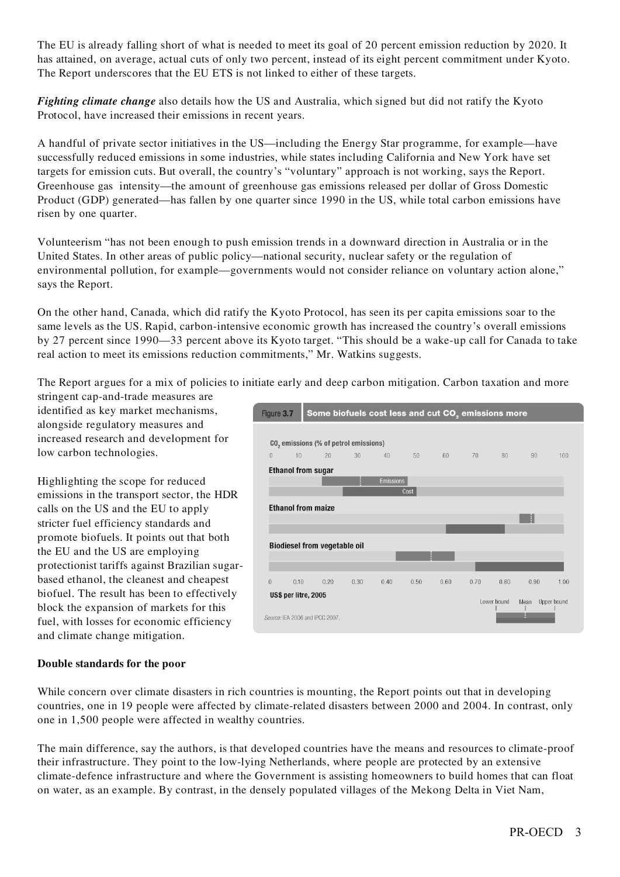The EU is already falling short of what is needed to meet its goal of 20 percent emission reduction by 2020. It has attained, on average, actual cuts of only two percent, instead of its eight percent commitment under Kyoto. The Report underscores that the EU ETS is not linked to either of these targets.

*Fighting climate change* also details how the US and Australia, which signed but did not ratify the Kyoto Protocol, have increased their emissions in recent years.

A handful of private sector initiatives in the US—including the Energy Star programme, for example—have successfully reduced emissions in some industries, while states including California and New York have set targets for emission cuts. But overall, the country's "voluntary" approach is not working, says the Report. Greenhouse gas intensity—the amount of greenhouse gas emissions released per dollar of Gross Domestic Product (GDP) generated—has fallen by one quarter since 1990 in the US, while total carbon emissions have risen by one quarter.

Volunteerism "has not been enough to push emission trends in a downward direction in Australia or in the United States. In other areas of public policy—national security, nuclear safety or the regulation of environmental pollution, for example—governments would not consider reliance on voluntary action alone," says the Report.

On the other hand, Canada, which did ratify the Kyoto Protocol, has seen its per capita emissions soar to the same levels as the US. Rapid, carbon-intensive economic growth has increased the country's overall emissions by 27 percent since 1990—33 percent above its Kyoto target. "This should be a wake-up call for Canada to take real action to meet its emissions reduction commitments," Mr. Watkins suggests.

The Report argues for a mix of policies to initiate early and deep carbon mitigation. Carbon taxation and more stringent cap-and-trade measures are

identified as key market mechanisms, alongside regulatory measures and increased research and development for low carbon technologies.

Highlighting the scope for reduced emissions in the transport sector, the HDR calls on the US and the EU to apply stricter fuel efficiency standards and promote biofuels. It points out that both the EU and the US are employing protectionist tariffs against Brazilian sugarbased ethanol, the cleanest and cheapest biofuel. The result has been to effectively block the expansion of markets for this fuel, with losses for economic efficiency and climate change mitigation.



## **Double standards for the poor**

While concern over climate disasters in rich countries is mounting, the Report points out that in developing countries, one in 19 people were affected by climate-related disasters between 2000 and 2004. In contrast, only one in 1,500 people were affected in wealthy countries.

The main difference, say the authors, is that developed countries have the means and resources to climate-proof their infrastructure. They point to the low-lying Netherlands, where people are protected by an extensive climate-defence infrastructure and where the Government is assisting homeowners to build homes that can float on water, as an example. By contrast, in the densely populated villages of the Mekong Delta in Viet Nam,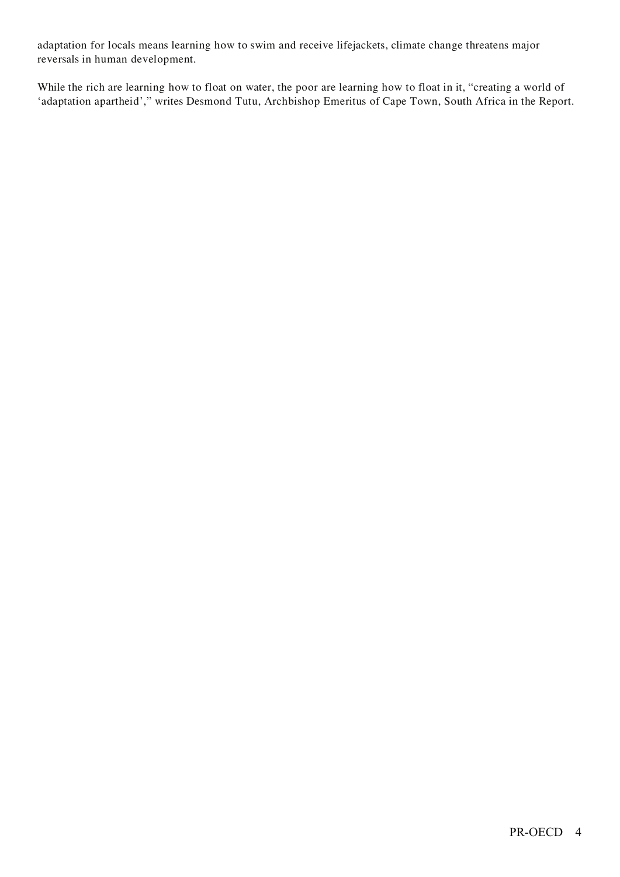adaptation for locals means learning how to swim and receive lifejackets, climate change threatens major reversals in human development.

While the rich are learning how to float on water, the poor are learning how to float in it, "creating a world of 'adaptation apartheid'," writes Desmond Tutu, Archbishop Emeritus of Cape Town, South Africa in the Report.